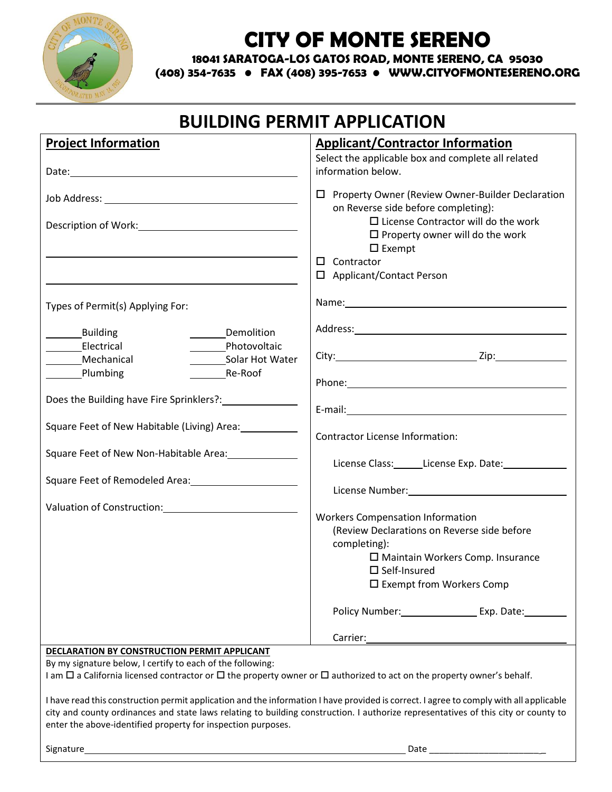

# **CITY OF MONTE SERENO**

**18041 SARATOGA-LOS GATOS ROAD, MONTE SERENO, CA 95030**

**(408) 354-7635 • FAX (408) 395-7653 • WWW.CITYOFMONTESERENO.ORG**

## **BUILDING PERMIT APPLICATION**

| <b>Project Information</b>                                                                                                                                                                                                           | <b>Applicant/Contractor Information</b>                                                                         |
|--------------------------------------------------------------------------------------------------------------------------------------------------------------------------------------------------------------------------------------|-----------------------------------------------------------------------------------------------------------------|
|                                                                                                                                                                                                                                      | Select the applicable box and complete all related                                                              |
| Date: <u>and the contract of the contract of the contract of the contract of the contract of the contract of the contract of the contract of the contract of the contract of the contract of the contract of the contract of the</u> | information below.                                                                                              |
|                                                                                                                                                                                                                                      | $\Box$ Property Owner (Review Owner-Builder Declaration<br>on Reverse side before completing):                  |
|                                                                                                                                                                                                                                      | $\Box$ License Contractor will do the work<br>$\square$ Property owner will do the work<br>$\square$ Exempt     |
|                                                                                                                                                                                                                                      | $\Box$ Contractor                                                                                               |
|                                                                                                                                                                                                                                      | □ Applicant/Contact Person                                                                                      |
| Types of Permit(s) Applying For:                                                                                                                                                                                                     |                                                                                                                 |
| Building<br>Demolition                                                                                                                                                                                                               |                                                                                                                 |
| Photovoltaic<br>______Electrical                                                                                                                                                                                                     |                                                                                                                 |
| _________Solar Hot Water<br>Mechanical                                                                                                                                                                                               |                                                                                                                 |
| Plumbing<br>Re-Roof                                                                                                                                                                                                                  |                                                                                                                 |
| Does the Building have Fire Sprinklers?: _______________                                                                                                                                                                             | E-mail: et al. and a state of the state of the state of the state of the state of the state of the state of the |
|                                                                                                                                                                                                                                      |                                                                                                                 |
| Square Feet of New Habitable (Living) Area:                                                                                                                                                                                          | <b>Contractor License Information:</b>                                                                          |
| Square Feet of New Non-Habitable Area: 1982                                                                                                                                                                                          | License Class: License Exp. Date: 1992                                                                          |
| Square Feet of Remodeled Area: 1988 1999                                                                                                                                                                                             |                                                                                                                 |
|                                                                                                                                                                                                                                      |                                                                                                                 |
|                                                                                                                                                                                                                                      |                                                                                                                 |
|                                                                                                                                                                                                                                      | <b>Workers Compensation Information</b><br>(Review Declarations on Reverse side before                          |
|                                                                                                                                                                                                                                      |                                                                                                                 |
|                                                                                                                                                                                                                                      | completing):                                                                                                    |
|                                                                                                                                                                                                                                      | $\square$ Maintain Workers Comp. Insurance<br>$\square$ Self-Insured                                            |
|                                                                                                                                                                                                                                      |                                                                                                                 |
|                                                                                                                                                                                                                                      | $\square$ Exempt from Workers Comp                                                                              |
|                                                                                                                                                                                                                                      | Policy Number: Exp. Date:                                                                                       |
|                                                                                                                                                                                                                                      | Carrier:                                                                                                        |
| <b>DECLARATION BY CONSTRUCTION PERMIT APPLICANT</b>                                                                                                                                                                                  |                                                                                                                 |
| By my signature below, I certify to each of the following:                                                                                                                                                                           |                                                                                                                 |
| I am $\Box$ a California licensed contractor or $\Box$ the property owner or $\Box$ authorized to act on the property owner's behalf.                                                                                                |                                                                                                                 |
| I have read this construction permit application and the information I have provided is correct. I agree to comply with all applicable                                                                                               |                                                                                                                 |
| city and county ordinances and state laws relating to building construction. I authorize representatives of this city or county to                                                                                                   |                                                                                                                 |
| enter the above-identified property for inspection purposes.                                                                                                                                                                         |                                                                                                                 |
|                                                                                                                                                                                                                                      |                                                                                                                 |
| Signature                                                                                                                                                                                                                            | Date                                                                                                            |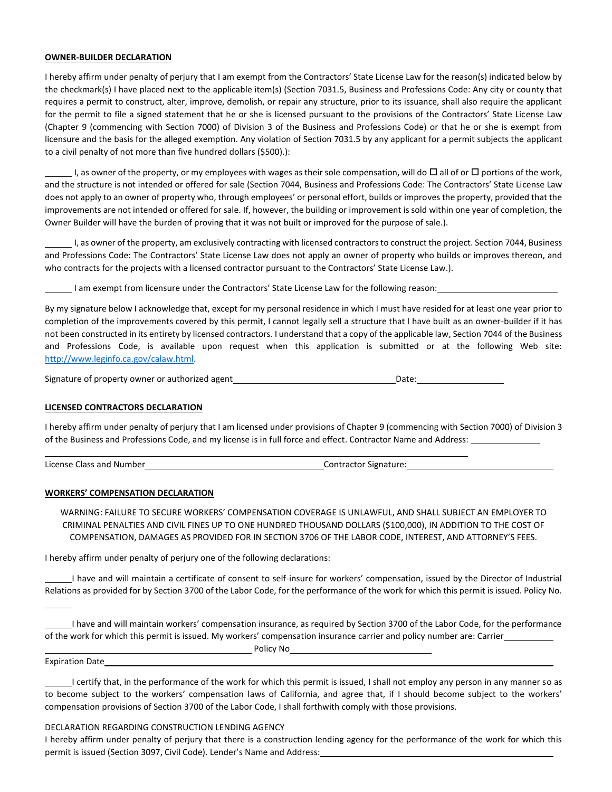## **OWNER-BUILDER DECLARATION**

I hereby affirm under penalty of perjury that I am exempt from the Contractors' State License Law for the reason(s) indicated below by the checkmark(s) I have placed next to the applicable item(s) (Section 7031.5, Business and Professions Code: Any city or county that requires a permit to construct, alter, improve, demolish, or repair any structure, prior to its issuance, shall also require the applicant for the permit to file a signed statement that he or she is licensed pursuant to the provisions of the Contractors' State License Law (Chapter 9 (commencing with Section 7000) of Division 3 of the Business and Professions Code) or that he or she is exempt from licensure and the basis for the alleged exemption. Any violation of Section 7031.5 by any applicant for a permit subjects the applicant to a civil penalty of not more than five hundred dollars (\$500).):

I, as owner of the property, or my employees with wages as their sole compensation, will do  $\Box$  all of or  $\Box$  portions of the work, and the structure is not intended or offered for sale (Section 7044, Business and Professions Code: The Contractors' State License Law does not apply to an owner of property who, through employees' or personal effort, builds or improves the property, provided that the improvements are not intended or offered for sale. If, however, the building or improvement is sold within one year of completion, the Owner Builder will have the burden of proving that it was not built or improved for the purpose of sale.).

I, as owner of the property, am exclusively contracting with licensed contractors to construct the project. Section 7044, Business and Professions Code: The Contractors' State License Law does not apply an owner of property who builds or improves thereon, and who contracts for the projects with a licensed contractor pursuant to the Contractors' State License Law.).

I am exempt from licensure under the Contractors' State License Law for the following reason:

By my signature below I acknowledge that, except for my personal residence in which I must have resided for at least one year prior to completion of the improvements covered by this permit, I cannot legally sell a structure that I have built as an owner-builder if it has not been constructed in its entirety by licensed contractors. I understand that a copy of the applicable law, Section 7044 of the Business and Professions Code, is available upon request when this application is submitted or at the following Web site: [http://www.leginfo.ca.gov/calaw.html.](http://www.leginfo.ca.gov/calaw.html)

Signature of property owner or authorized agent Date:

### **LICENSED CONTRACTORS DECLARATION**

I hereby affirm under penalty of perjury that I am licensed under provisions of Chapter 9 (commencing with Section 7000) of Division 3 of the Business and Professions Code, and my license is in full force and effect. Contractor Name and Address:

License Class and Number Contractor Signature: Contractor Signature:

**Policy No. 2018** 

### **WORKERS' COMPENSATION DECLARATION**

WARNING: FAILURE TO SECURE WORKERS' COMPENSATION COVERAGE IS UNLAWFUL, AND SHALL SUBJECT AN EMPLOYER TO CRIMINAL PENALTIES AND CIVIL FINES UP TO ONE HUNDRED THOUSAND DOLLARS (\$100,000), IN ADDITION TO THE COST OF COMPENSATION, DAMAGES AS PROVIDED FOR IN SECTION 3706 OF THE LABOR CODE, INTEREST, AND ATTORNEY'S FEES.

I hereby affirm under penalty of perjury one of the following declarations:

I have and will maintain a certificate of consent to self-insure for workers' compensation, issued by the Director of Industrial Relations as provided for by Section 3700 of the Labor Code, for the performance of the work for which this permit is issued. Policy No.

I have and will maintain workers' compensation insurance, as required by Section 3700 of the Labor Code, for the performance of the work for which this permit is issued. My workers' compensation insurance carrier and policy number are: Carrier

Expiration Date

I certify that, in the performance of the work for which this permit is issued, I shall not employ any person in any manner so as to become subject to the workers' compensation laws of California, and agree that, if I should become subject to the workers' compensation provisions of Section 3700 of the Labor Code, I shall forthwith comply with those provisions.

DECLARATION REGARDING CONSTRUCTION LENDING AGENCY

I hereby affirm under penalty of perjury that there is a construction lending agency for the performance of the work for which this permit is issued (Section 3097, Civil Code). Lender's Name and Address: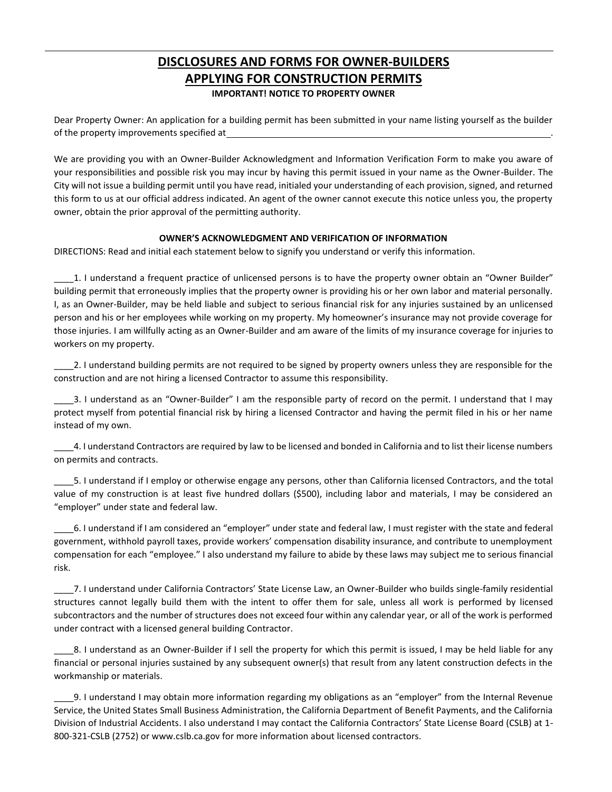## **DISCLOSURES AND FORMS FOR OWNER-BUILDERS APPLYING FOR CONSTRUCTION PERMITS IMPORTANT! NOTICE TO PROPERTY OWNER**

Dear Property Owner: An application for a building permit has been submitted in your name listing yourself as the builder of the property improvements specified at .

We are providing you with an Owner-Builder Acknowledgment and Information Verification Form to make you aware of your responsibilities and possible risk you may incur by having this permit issued in your name as the Owner-Builder. The City will not issue a building permit until you have read, initialed your understanding of each provision, signed, and returned this form to us at our official address indicated. An agent of the owner cannot execute this notice unless you, the property owner, obtain the prior approval of the permitting authority.

## **OWNER'S ACKNOWLEDGMENT AND VERIFICATION OF INFORMATION**

DIRECTIONS: Read and initial each statement below to signify you understand or verify this information.

\_\_\_\_1. I understand a frequent practice of unlicensed persons is to have the property owner obtain an "Owner Builder" building permit that erroneously implies that the property owner is providing his or her own labor and material personally. I, as an Owner-Builder, may be held liable and subject to serious financial risk for any injuries sustained by an unlicensed person and his or her employees while working on my property. My homeowner's insurance may not provide coverage for those injuries. I am willfully acting as an Owner-Builder and am aware of the limits of my insurance coverage for injuries to workers on my property.

\_\_\_\_2. I understand building permits are not required to be signed by property owners unless they are responsible for the construction and are not hiring a licensed Contractor to assume this responsibility.

\_\_\_\_3. I understand as an "Owner-Builder" I am the responsible party of record on the permit. I understand that I may protect myself from potential financial risk by hiring a licensed Contractor and having the permit filed in his or her name instead of my own.

\_\_\_\_4. I understand Contractors are required by law to be licensed and bonded in California and to list their license numbers on permits and contracts.

\_\_\_\_5. I understand if I employ or otherwise engage any persons, other than California licensed Contractors, and the total value of my construction is at least five hundred dollars (\$500), including labor and materials, I may be considered an "employer" under state and federal law.

\_\_\_\_6. I understand if I am considered an "employer" under state and federal law, I must register with the state and federal government, withhold payroll taxes, provide workers' compensation disability insurance, and contribute to unemployment compensation for each "employee." I also understand my failure to abide by these laws may subject me to serious financial risk.

\_\_\_\_7. I understand under California Contractors' State License Law, an Owner-Builder who builds single-family residential structures cannot legally build them with the intent to offer them for sale, unless all work is performed by licensed subcontractors and the number of structures does not exceed four within any calendar year, or all of the work is performed under contract with a licensed general building Contractor.

8. I understand as an Owner-Builder if I sell the property for which this permit is issued, I may be held liable for any financial or personal injuries sustained by any subsequent owner(s) that result from any latent construction defects in the workmanship or materials.

\_\_\_\_9. I understand I may obtain more information regarding my obligations as an "employer" from the Internal Revenue Service, the United States Small Business Administration, the California Department of Benefit Payments, and the California Division of Industrial Accidents. I also understand I may contact the California Contractors' State License Board (CSLB) at 1- 800-321-CSLB (2752) or www.cslb.ca.gov for more information about licensed contractors.